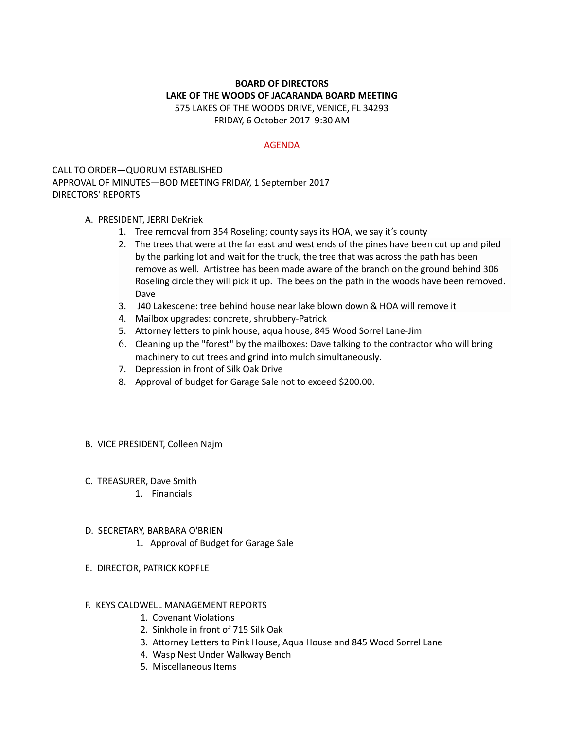# **BOARD OF DIRECTORS LAKE OF THE WOODS OF JACARANDA BOARD MEETING** 575 LAKES OF THE WOODS DRIVE, VENICE, FL 34293

FRIDAY, 6 October 2017 9:30 AM

### AGENDA

CALL TO ORDER—QUORUM ESTABLISHED APPROVAL OF MINUTES—BOD MEETING FRIDAY, 1 September 2017 DIRECTORS' REPORTS

## A. PRESIDENT, JERRI DeKriek

- 1. Tree removal from 354 Roseling; county says its HOA, we say it's county
- 2. The trees that were at the far east and west ends of the pines have been cut up and piled by the parking lot and wait for the truck, the tree that was across the path has been remove as well. Artistree has been made aware of the branch on the ground behind 306 Roseling circle they will pick it up. The bees on the path in the woods have been removed. Dave
- 3. J40 Lakescene: tree behind house near lake blown down & HOA will remove it
- 4. Mailbox upgrades: concrete, shrubbery-Patrick
- 5. Attorney letters to pink house, aqua house, 845 Wood Sorrel Lane-Jim
- 6. Cleaning up the "forest" by the mailboxes: Dave talking to the contractor who will bring machinery to cut trees and grind into mulch simultaneously.
- 7. Depression in front of Silk Oak Drive
- 8. Approval of budget for Garage Sale not to exceed \$200.00.

## B. VICE PRESIDENT, Colleen Najm

- C. TREASURER, Dave Smith
	- 1. Financials
- D. SECRETARY, BARBARA O'BRIEN
	- 1. Approval of Budget for Garage Sale
- E. DIRECTOR, PATRICK KOPFLE

## F. KEYS CALDWELL MANAGEMENT REPORTS

- 1. Covenant Violations
- 2. Sinkhole in front of 715 Silk Oak
- 3. Attorney Letters to Pink House, Aqua House and 845 Wood Sorrel Lane
- 4. Wasp Nest Under Walkway Bench
- 5. Miscellaneous Items